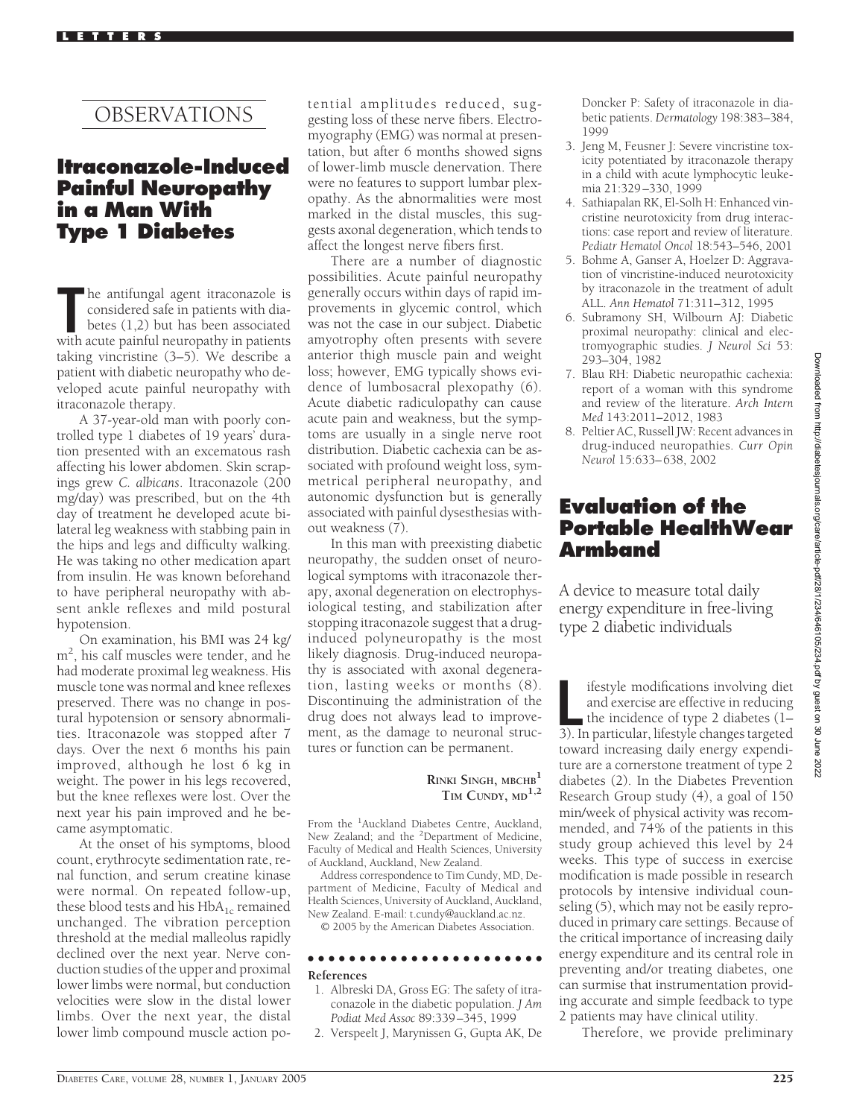# OBSERVATIONS

## **Itraconazole-Induced Painful Neuropathy in a Man With Type 1 Diabetes**

The antifungal agent itraconazole is<br>
considered safe in patients with dia-<br>
betes (1,2) but has been associated<br>
with acute painful neuropathy in patients he antifungal agent itraconazole is considered safe in patients with diabetes (1,2) but has been associated taking vincristine (3–5). We describe a patient with diabetic neuropathy who developed acute painful neuropathy with itraconazole therapy.

A 37-year-old man with poorly controlled type 1 diabetes of 19 years' duration presented with an excematous rash affecting his lower abdomen. Skin scrapings grew *C. albicans*. Itraconazole (200 mg/day) was prescribed, but on the 4th day of treatment he developed acute bilateral leg weakness with stabbing pain in the hips and legs and difficulty walking. He was taking no other medication apart from insulin. He was known beforehand to have peripheral neuropathy with absent ankle reflexes and mild postural hypotension.

On examination, his BMI was 24 kg/ m2 , his calf muscles were tender, and he had moderate proximal leg weakness. His muscle tone was normal and knee reflexes preserved. There was no change in postural hypotension or sensory abnormalities. Itraconazole was stopped after 7 days. Over the next 6 months his pain improved, although he lost 6 kg in weight. The power in his legs recovered, but the knee reflexes were lost. Over the next year his pain improved and he became asymptomatic.

At the onset of his symptoms, blood count, erythrocyte sedimentation rate, renal function, and serum creatine kinase were normal. On repeated follow-up, these blood tests and his  $HbA_{1c}$  remained unchanged. The vibration perception threshold at the medial malleolus rapidly declined over the next year. Nerve conduction studies of the upper and proximal lower limbs were normal, but conduction velocities were slow in the distal lower limbs. Over the next year, the distal lower limb compound muscle action potential amplitudes reduced, suggesting loss of these nerve fibers. Electromyography (EMG) was normal at presentation, but after 6 months showed signs of lower-limb muscle denervation. There were no features to support lumbar plexopathy. As the abnormalities were most marked in the distal muscles, this suggests axonal degeneration, which tends to affect the longest nerve fibers first.

There are a number of diagnostic possibilities. Acute painful neuropathy generally occurs within days of rapid improvements in glycemic control, which was not the case in our subject. Diabetic amyotrophy often presents with severe anterior thigh muscle pain and weight loss; however, EMG typically shows evidence of lumbosacral plexopathy (6). Acute diabetic radiculopathy can cause acute pain and weakness, but the symptoms are usually in a single nerve root distribution. Diabetic cachexia can be associated with profound weight loss, symmetrical peripheral neuropathy, and autonomic dysfunction but is generally associated with painful dysesthesias without weakness (7).

In this man with preexisting diabetic neuropathy, the sudden onset of neurological symptoms with itraconazole therapy, axonal degeneration on electrophysiological testing, and stabilization after stopping itraconazole suggest that a druginduced polyneuropathy is the most likely diagnosis. Drug-induced neuropathy is associated with axonal degeneration, lasting weeks or months (8). Discontinuing the administration of the drug does not always lead to improvement, as the damage to neuronal structures or function can be permanent.

### **RINKI SINGH, MBCHB<sup>1</sup> TIM CUNDY, MD1,2**

From the <sup>1</sup>Auckland Diabetes Centre, Auckland, New Zealand; and the <sup>2</sup>Department of Medicine, Faculty of Medical and Health Sciences, University of Auckland, Auckland, New Zealand.

Address correspondence to Tim Cundy, MD, Department of Medicine, Faculty of Medical and Health Sciences, University of Auckland, Auckland, New Zealand. E-mail: t.cundy@auckland.ac.nz.

© 2005 by the American Diabetes Association.

#### ●●●●●●●●●●●●●●●●●●●●●●● **References**

- 1. Albreski DA, Gross EG: The safety of itraconazole in the diabetic population. *J Am Podiat Med Assoc* 89:339–345, 1999
- 2. Verspeelt J, Marynissen G, Gupta AK, De

Doncker P: Safety of itraconazole in diabetic patients. *Dermatology* 198:383–384, 1999

- 3. Jeng M, Feusner J: Severe vincristine toxicity potentiated by itraconazole therapy in a child with acute lymphocytic leukemia 21:329–330, 1999
- 4. Sathiapalan RK, El-Solh H: Enhanced vincristine neurotoxicity from drug interactions: case report and review of literature. *Pediatr Hematol Oncol* 18:543–546, 2001
- 5. Bohme A, Ganser A, Hoelzer D: Aggravation of vincristine-induced neurotoxicity by itraconazole in the treatment of adult ALL. *Ann Hematol* 71:311–312, 1995
- 6. Subramony SH, Wilbourn AJ: Diabetic proximal neuropathy: clinical and electromyographic studies. *J Neurol Sci* 53: 293–304, 1982
- 7. Blau RH: Diabetic neuropathic cachexia: report of a woman with this syndrome and review of the literature. *Arch Intern Med* 143:2011–2012, 1983
- 8. Peltier AC, Russell JW: Recent advances in drug-induced neuropathies. *Curr Opin Neurol* 15:633–638, 2002

# **Evaluation of the Portable HealthWear Armband**

A device to measure total daily energy expenditure in free-living type 2 diabetic individuals

Ifestyle modifications involving diet<br>
and exercise are effective in reducing<br>
the incidence of type 2 diabetes (1–3). In particular, lifestyle changes targeted ifestyle modifications involving diet and exercise are effective in reducing the incidence of type 2 diabetes  $(1$ toward increasing daily energy expenditure are a cornerstone treatment of type 2 diabetes (2). In the Diabetes Prevention Research Group study (4), a goal of 150 min/week of physical activity was recommended, and 74% of the patients in this study group achieved this level by 24 weeks. This type of success in exercise modification is made possible in research protocols by intensive individual counseling (5), which may not be easily reproduced in primary care settings. Because of the critical importance of increasing daily energy expenditure and its central role in preventing and/or treating diabetes, one can surmise that instrumentation providing accurate and simple feedback to type 2 patients may have clinical utility.

Therefore, we provide preliminary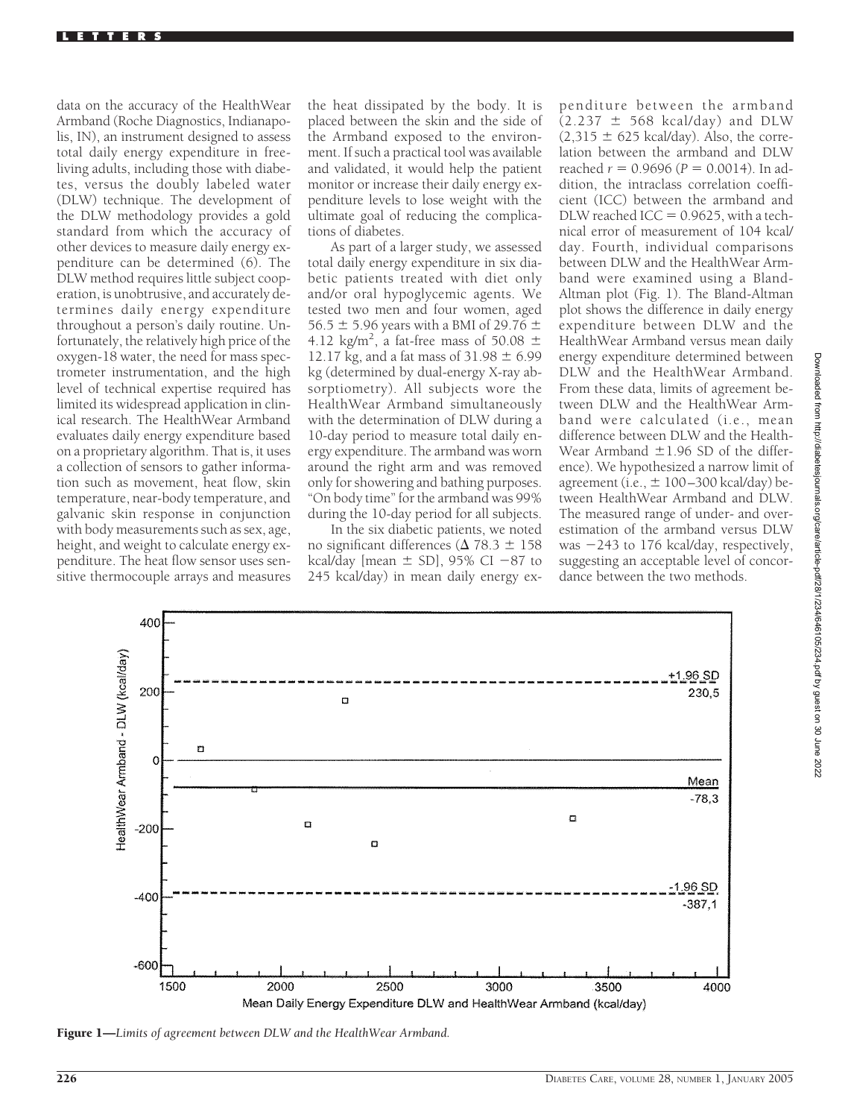data on the accuracy of the HealthWear Armband (Roche Diagnostics, Indianapolis, IN), an instrument designed to assess total daily energy expenditure in freeliving adults, including those with diabetes, versus the doubly labeled water (DLW) technique. The development of the DLW methodology provides a gold standard from which the accuracy of other devices to measure daily energy expenditure can be determined (6). The DLW method requires little subject cooperation, is unobtrusive, and accurately determines daily energy expenditure throughout a person's daily routine. Unfortunately, the relatively high price of the oxygen-18 water, the need for mass spectrometer instrumentation, and the high level of technical expertise required has limited its widespread application in clinical research. The HealthWear Armband evaluates daily energy expenditure based on a proprietary algorithm. That is, it uses a collection of sensors to gather information such as movement, heat flow, skin temperature, near-body temperature, and galvanic skin response in conjunction with body measurements such as sex, age, height, and weight to calculate energy expenditure. The heat flow sensor uses sensitive thermocouple arrays and measures

the heat dissipated by the body. It is placed between the skin and the side of the Armband exposed to the environment. If such a practical tool was available and validated, it would help the patient monitor or increase their daily energy expenditure levels to lose weight with the ultimate goal of reducing the complications of diabetes.

As part of a larger study, we assessed total daily energy expenditure in six diabetic patients treated with diet only and/or oral hypoglycemic agents. We tested two men and four women, aged 56.5  $\pm$  5.96 years with a BMI of 29.76  $\pm$ 4.12 kg/m<sup>2</sup>, a fat-free mass of 50.08  $\pm$ 12.17 kg, and a fat mass of  $31.98 \pm 6.99$ kg (determined by dual-energy X-ray absorptiometry). All subjects wore the HealthWear Armband simultaneously with the determination of DLW during a 10-day period to measure total daily energy expenditure. The armband was worn around the right arm and was removed only for showering and bathing purposes. "On body time" for the armband was 99% during the 10-day period for all subjects.

In the six diabetic patients, we noted no significant differences ( $\Delta$  78.3  $\pm$  158 kcal/day [mean  $\pm$  SD], 95% CI -87 to 245 kcal/day) in mean daily energy ex-

penditure between the armband  $(2.237 \pm 568 \text{ kcal/day})$  and DLW  $(2,315 \pm 625 \text{ kcal/day})$ . Also, the correlation between the armband and DLW reached  $r = 0.9696$  ( $P = 0.0014$ ). In addition, the intraclass correlation coefficient (ICC) between the armband and DLW reached ICC  $= 0.9625$ , with a technical error of measurement of 104 kcal/ day. Fourth, individual comparisons between DLW and the HealthWear Armband were examined using a Bland-Altman plot (Fig. 1). The Bland-Altman plot shows the difference in daily energy expenditure between DLW and the HealthWear Armband versus mean daily energy expenditure determined between DLW and the HealthWear Armband. From these data, limits of agreement between DLW and the HealthWear Armband were calculated (i.e., mean difference between DLW and the Health-Wear Armband  $\pm 1.96$  SD of the difference). We hypothesized a narrow limit of agreement (i.e.,  $\pm 100 - 300$  kcal/day) between HealthWear Armband and DLW. The measured range of under- and overestimation of the armband versus DLW was  $-243$  to 176 kcal/day, respectively, suggesting an acceptable level of concordance between the two methods.



Figure 1—*Limits of agreement between DLW and the HealthWear Armband.*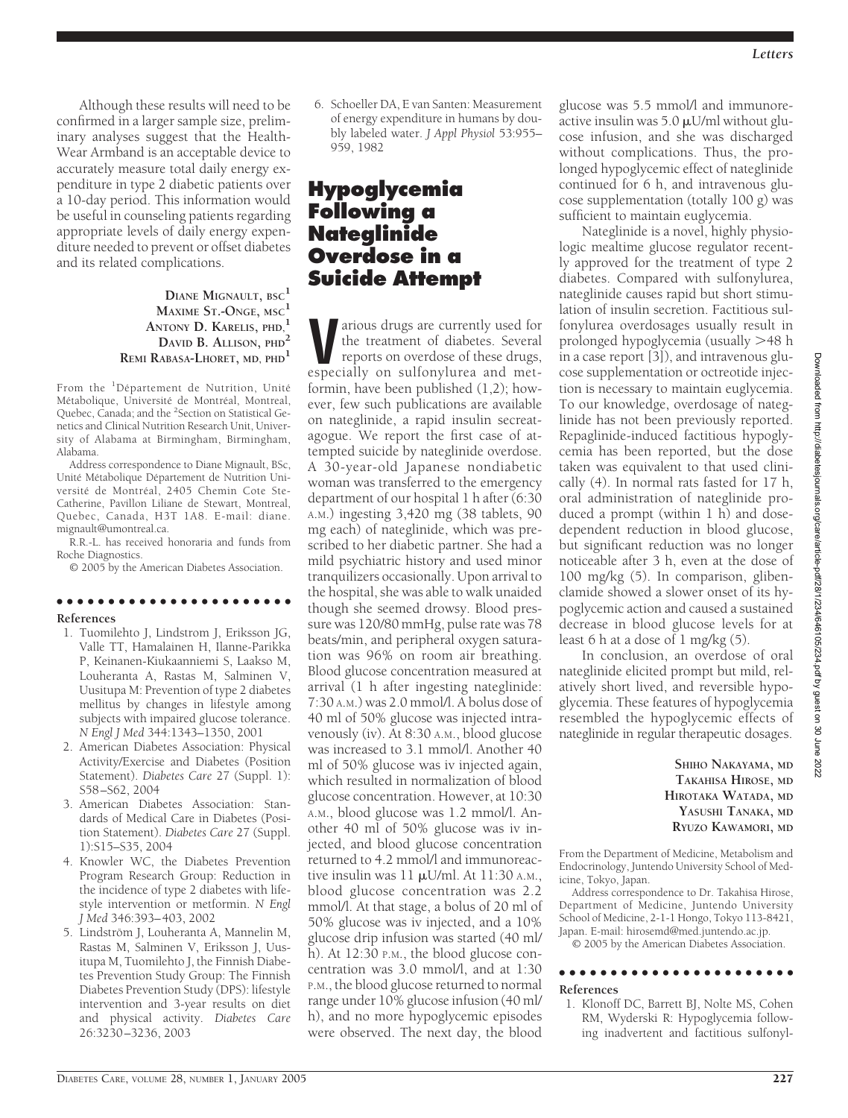Although these results will need to be confirmed in a larger sample size, preliminary analyses suggest that the Health-Wear Armband is an acceptable device to accurately measure total daily energy expenditure in type 2 diabetic patients over a 10-day period. This information would be useful in counseling patients regarding appropriate levels of daily energy expenditure needed to prevent or offset diabetes and its related complications.

> **DIANE MIGNAULT, BSC<sup>1</sup> MAXIME ST.-ONGE, MSC<sup>1</sup> ANTONY D. KARELIS, PHD,<sup>1</sup> DAVID B. ALLISON, PHD<sup>2</sup> REMI RABASA-LHORET, MD, PHD<sup>1</sup>**

From the <sup>1</sup>Département de Nutrition, Unité Métabolique, Université de Montréal, Montreal, Quebec, Canada; and the <sup>2</sup>Section on Statistical Genetics and Clinical Nutrition Research Unit, University of Alabama at Birmingham, Birmingham, Alabama.

Address correspondence to Diane Mignault, BSc, Unité Métabolique Département de Nutrition Université de Montréal, 2405 Chemin Cote Ste-Catherine, Pavillon Liliane de Stewart, Montreal, Quebec, Canada, H3T 1A8. E-mail: diane. mignault@umontreal.ca.

R.R.-L. has received honoraria and funds from Roche Diagnostics.

© 2005 by the American Diabetes Association.

### ●●●●●●●●●●●●●●●●●●●●●●●

#### **References**

- 1. Tuomilehto J, Lindstrom J, Eriksson JG, Valle TT, Hamalainen H, Ilanne-Parikka P, Keinanen-Kiukaanniemi S, Laakso M, Louheranta A, Rastas M, Salminen V, Uusitupa M: Prevention of type 2 diabetes mellitus by changes in lifestyle among subjects with impaired glucose tolerance. *N Engl J Med* 344:1343–1350, 2001
- 2. American Diabetes Association: Physical Activity/Exercise and Diabetes (Position Statement). *Diabetes Care* 27 (Suppl. 1): S58–S62, 2004
- 3. American Diabetes Association: Standards of Medical Care in Diabetes (Position Statement). *Diabetes Care* 27 (Suppl. 1):S15–S35, 2004
- 4. Knowler WC, the Diabetes Prevention Program Research Group: Reduction in the incidence of type 2 diabetes with lifestyle intervention or metformin. *N Engl J Med* 346:393–403, 2002
- 5. Lindström J, Louheranta A, Mannelin M, Rastas M, Salminen V, Eriksson J, Uusitupa M, Tuomilehto J, the Finnish Diabetes Prevention Study Group: The Finnish Diabetes Prevention Study (DPS): lifestyle intervention and 3-year results on diet and physical activity. *Diabetes Care* 26:3230–3236, 2003

6. Schoeller DA, E van Santen: Measurement of energy expenditure in humans by doubly labeled water. *J Appl Physiol* 53:955– 959, 1982

# **Hypoglycemia Following a Nateglinide Overdose in a Suicide Attempt**

**V**arious drugs are currently used for<br>the treatment of diabetes. Several<br>reports on overdose of these drugs,<br>especially on sulfonylurea and metthe treatment of diabetes. Several especially on sulfonylurea and metformin, have been published (1,2); however, few such publications are available on nateglinide, a rapid insulin secreatagogue. We report the first case of attempted suicide by nateglinide overdose. A 30-year-old Japanese nondiabetic woman was transferred to the emergency department of our hospital 1 h after (6:30 A.M.) ingesting 3,420 mg (38 tablets, 90 mg each) of nateglinide, which was prescribed to her diabetic partner. She had a mild psychiatric history and used minor tranquilizers occasionally. Upon arrival to the hospital, she was able to walk unaided though she seemed drowsy. Blood pressure was 120/80 mmHg, pulse rate was 78 beats/min, and peripheral oxygen saturation was 96% on room air breathing. Blood glucose concentration measured at arrival (1 h after ingesting nateglinide: 7:30 A.M.) was 2.0 mmol/l. A bolus dose of 40 ml of 50% glucose was injected intravenously (iv). At 8:30 A.M., blood glucose was increased to 3.1 mmol/l. Another 40 ml of 50% glucose was iv injected again, which resulted in normalization of blood glucose concentration. However, at 10:30 A.M., blood glucose was 1.2 mmol/l. Another 40 ml of 50% glucose was iv injected, and blood glucose concentration returned to 4.2 mmol/l and immunoreactive insulin was  $11 \mu U/ml$ . At  $11:30 \text{ A.M.}$ , blood glucose concentration was 2.2 mmol/l. At that stage, a bolus of 20 ml of 50% glucose was iv injected, and a 10% glucose drip infusion was started (40 ml/ h). At 12:30 P.M., the blood glucose concentration was 3.0 mmol/l, and at 1:30 P.M., the blood glucose returned to normal range under 10% glucose infusion (40 ml/ h), and no more hypoglycemic episodes were observed. The next day, the blood

glucose was 5.5 mmol/l and immunoreactive insulin was  $5.0 \mu U/ml$  without glucose infusion, and she was discharged without complications. Thus, the prolonged hypoglycemic effect of nateglinide continued for 6 h, and intravenous glucose supplementation (totally 100 g) was sufficient to maintain euglycemia.

Nateglinide is a novel, highly physiologic mealtime glucose regulator recently approved for the treatment of type 2 diabetes. Compared with sulfonylurea, nateglinide causes rapid but short stimulation of insulin secretion. Factitious sulfonylurea overdosages usually result in prolonged hypoglycemia (usually 48 h in a case report [3]), and intravenous glucose supplementation or octreotide injection is necessary to maintain euglycemia. To our knowledge, overdosage of nateglinide has not been previously reported. Repaglinide-induced factitious hypoglycemia has been reported, but the dose taken was equivalent to that used clinically (4). In normal rats fasted for 17 h, oral administration of nateglinide produced a prompt (within 1 h) and dosedependent reduction in blood glucose, but significant reduction was no longer noticeable after 3 h, even at the dose of 100 mg/kg (5). In comparison, glibenclamide showed a slower onset of its hypoglycemic action and caused a sustained decrease in blood glucose levels for at least 6 h at a dose of 1 mg/kg  $(5)$ .

In conclusion, an overdose of oral nateglinide elicited prompt but mild, relatively short lived, and reversible hypoglycemia. These features of hypoglycemia resembled the hypoglycemic effects of nateglinide in regular therapeutic dosages.

> **SHIHO NAKAYAMA, MD TAKAHISA HIROSE, MD HIROTAKA WATADA, MD YASUSHI TANAKA, MD RYUZO KAWAMORI, MD**

From the Department of Medicine, Metabolism and Endocrinology, Juntendo University School of Medicine, Tokyo, Japan.

Address correspondence to Dr. Takahisa Hirose, Department of Medicine, Juntendo University School of Medicine, 2-1-1 Hongo, Tokyo 113-8421, Japan. E-mail: hirosemd@med.juntendo.ac.jp.

© 2005 by the American Diabetes Association.

#### ●●●●●●●●●●●●●●●●●●●●●●●

#### **References**

1. Klonoff DC, Barrett BJ, Nolte MS, Cohen RM, Wyderski R: Hypoglycemia following inadvertent and factitious sulfonyl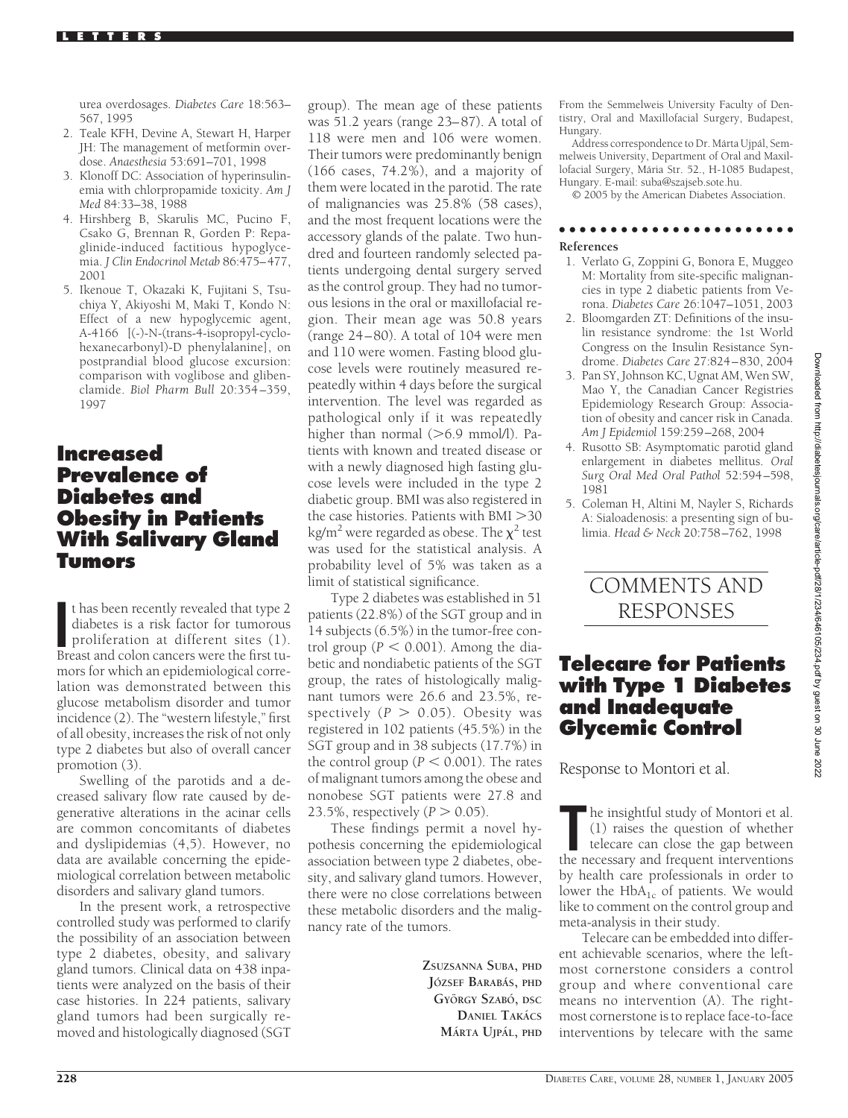urea overdosages. *Diabetes Care* 18:563– 567, 1995

- 2. Teale KFH, Devine A, Stewart H, Harper JH: The management of metformin overdose. *Anaesthesia* 53:691–701, 1998
- 3. Klonoff DC: Association of hyperinsulinemia with chlorpropamide toxicity. *Am J Med* 84:33–38, 1988
- 4. Hirshberg B, Skarulis MC, Pucino F, Csako G, Brennan R, Gorden P: Repaglinide-induced factitious hypoglycemia. *J Clin Endocrinol Metab* 86:475–477, 2001
- 5. Ikenoue T, Okazaki K, Fujitani S, Tsuchiya Y, Akiyoshi M, Maki T, Kondo N: Effect of a new hypoglycemic agent, A-4166 [(-)-N-(trans-4-isopropyl-cyclohexanecarbonyl)-D phenylalanine], on postprandial blood glucose excursion: comparison with voglibose and glibenclamide. *Biol Pharm Bull* 20:354–359, 1997

## **Increased Prevalence of Diabetes and Obesity in Patients With Salivary Gland Tumors**

If thas been recently revealed that type 2 diabetes is a risk factor for tumorous proliferation at different sites (1). Breast and colon cancers were the first tut has been recently revealed that type 2 diabetes is a risk factor for tumorous proliferation at different sites (1). mors for which an epidemiological correlation was demonstrated between this glucose metabolism disorder and tumor incidence (2). The "western lifestyle," first of all obesity, increases the risk of not only type 2 diabetes but also of overall cancer promotion (3).

Swelling of the parotids and a decreased salivary flow rate caused by degenerative alterations in the acinar cells are common concomitants of diabetes and dyslipidemias (4,5). However, no data are available concerning the epidemiological correlation between metabolic disorders and salivary gland tumors.

In the present work, a retrospective controlled study was performed to clarify the possibility of an association between type 2 diabetes, obesity, and salivary gland tumors. Clinical data on 438 inpatients were analyzed on the basis of their case histories. In 224 patients, salivary gland tumors had been surgically removed and histologically diagnosed (SGT

group). The mean age of these patients was 51.2 years (range 23–87). A total of 118 were men and 106 were women. Their tumors were predominantly benign (166 cases, 74.2%), and a majority of them were located in the parotid. The rate of malignancies was 25.8% (58 cases), and the most frequent locations were the accessory glands of the palate. Two hundred and fourteen randomly selected patients undergoing dental surgery served as the control group. They had no tumorous lesions in the oral or maxillofacial region. Their mean age was 50.8 years (range 24–80). A total of 104 were men and 110 were women. Fasting blood glucose levels were routinely measured repeatedly within 4 days before the surgical intervention. The level was regarded as pathological only if it was repeatedly higher than normal  $(>6.9 \text{ mmol/l})$ . Patients with known and treated disease or with a newly diagnosed high fasting glucose levels were included in the type 2 diabetic group. BMI was also registered in the case histories. Patients with BMI > 30 kg/m<sup>2</sup> were regarded as obese. The  $\chi^2$  test was used for the statistical analysis. A probability level of 5% was taken as a limit of statistical significance.

Type 2 diabetes was established in 51 patients (22.8%) of the SGT group and in 14 subjects (6.5%) in the tumor-free control group ( $P < 0.001$ ). Among the diabetic and nondiabetic patients of the SGT group, the rates of histologically malignant tumors were 26.6 and 23.5%, respectively  $(P > 0.05)$ . Obesity was registered in 102 patients (45.5%) in the SGT group and in 38 subjects (17.7%) in the control group ( $P < 0.001$ ). The rates of malignant tumors among the obese and nonobese SGT patients were 27.8 and 23.5%, respectively  $(P > 0.05)$ .

These findings permit a novel hypothesis concerning the epidemiological association between type 2 diabetes, obesity, and salivary gland tumors. However, there were no close correlations between these metabolic disorders and the malignancy rate of the tumors.

> **ZSUZSANNA SUBA, PHD JO´ ZSEF BARABA´S, PHD GYO¨ RGY SZABO´, DSC DANIEL TAKÁCS MA´RTA UJPA´L, PHD**

From the Semmelweis University Faculty of Dentistry, Oral and Maxillofacial Surgery, Budapest, Hungary.

Address correspondence to Dr. Márta Ujpál, Semmelweis University, Department of Oral and Maxillofacial Surgery, Mária Str. 52., H-1085 Budapest, Hungary. E-mail: suba@szajseb.sote.hu.

© 2005 by the American Diabetes Association.

## ●●●●●●●●●●●●●●●●●●●●●●●

### **References**

- 1. Verlato G, Zoppini G, Bonora E, Muggeo M: Mortality from site-specific malignancies in type 2 diabetic patients from Verona. *Diabetes Care* 26:1047–1051, 2003
- 2. Bloomgarden ZT: Definitions of the insulin resistance syndrome: the 1st World Congress on the Insulin Resistance Syndrome. *Diabetes Care* 27:824–830, 2004
- 3. Pan SY, Johnson KC, Ugnat AM, Wen SW, Mao Y, the Canadian Cancer Registries Epidemiology Research Group: Association of obesity and cancer risk in Canada. *Am J Epidemiol* 159:259–268, 2004
- 4. Rusotto SB: Asymptomatic parotid gland enlargement in diabetes mellitus. *Oral Surg Oral Med Oral Pathol* 52:594–598, 1981
- 5. Coleman H, Altini M, Nayler S, Richards A: Sialoadenosis: a presenting sign of bulimia. *Head & Neck* 20:758–762, 1998



# **Telecare for Patients with Type 1 Diabetes and Inadequate Glycemic Control**

Response to Montori et al.

The insightful study of Montori et al.<br>
(1) raises the question of whether<br>
telecare can close the gap between<br>
the necessary and frequent interventions he insightful study of Montori et al. (1) raises the question of whether telecare can close the gap between by health care professionals in order to lower the  $HbA_{1c}$  of patients. We would like to comment on the control group and meta-analysis in their study.

Telecare can be embedded into different achievable scenarios, where the leftmost cornerstone considers a control group and where conventional care means no intervention (A). The rightmost cornerstone is to replace face-to-face interventions by telecare with the same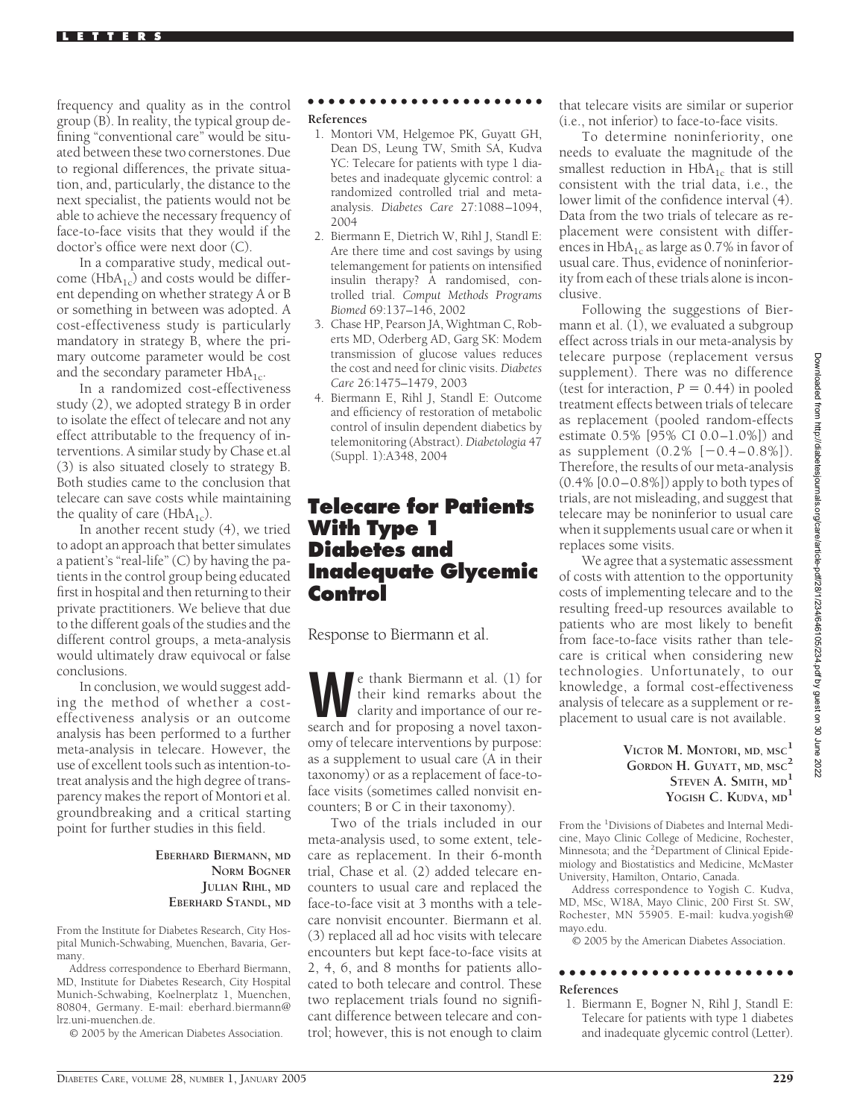frequency and quality as in the control group (B). In reality, the typical group defining "conventional care" would be situated between these two cornerstones. Due to regional differences, the private situation, and, particularly, the distance to the next specialist, the patients would not be able to achieve the necessary frequency of face-to-face visits that they would if the doctor's office were next door (C).

In a comparative study, medical outcome ( $HbA_{1c}$ ) and costs would be different depending on whether strategy A or B or something in between was adopted. A cost-effectiveness study is particularly mandatory in strategy B, where the primary outcome parameter would be cost and the secondary parameter  $HbA_{1c}$ .

In a randomized cost-effectiveness study (2), we adopted strategy B in order to isolate the effect of telecare and not any effect attributable to the frequency of interventions. A similar study by Chase et.al (3) is also situated closely to strategy B. Both studies came to the conclusion that telecare can save costs while maintaining the quality of care  $(HbA_{1c})$ .

In another recent study (4), we tried to adopt an approach that better simulates a patient's "real-life" (C) by having the patients in the control group being educated first in hospital and then returning to their private practitioners. We believe that due to the different goals of the studies and the different control groups, a meta-analysis would ultimately draw equivocal or false conclusions.

In conclusion, we would suggest adding the method of whether a costeffectiveness analysis or an outcome analysis has been performed to a further meta-analysis in telecare. However, the use of excellent tools such as intention-totreat analysis and the high degree of transparency makes the report of Montori et al. groundbreaking and a critical starting point for further studies in this field.

### **EBERHARD BIERMANN, MD NORM BOGNER JULIAN RIHL, MD EBERHARD STANDL, MD**

From the Institute for Diabetes Research, City Hospital Munich-Schwabing, Muenchen, Bavaria, Germany.

Address correspondence to Eberhard Biermann, MD, Institute for Diabetes Research, City Hospital Munich-Schwabing, Koelnerplatz 1, Muenchen, 80804, Germany. E-mail: eberhard.biermann@ lrz.uni-muenchen.de.

© 2005 by the American Diabetes Association.

#### ●●●●●●●●●●●●●●●●●●●●●●●

#### **References**

- 1. Montori VM, Helgemoe PK, Guyatt GH, Dean DS, Leung TW, Smith SA, Kudva YC: Telecare for patients with type 1 diabetes and inadequate glycemic control: a randomized controlled trial and metaanalysis. *Diabetes Care* 27:1088–1094, 2004
- 2. Biermann E, Dietrich W, Rihl J, Standl E: Are there time and cost savings by using telemangement for patients on intensified insulin therapy? A randomised, controlled trial. *Comput Methods Programs Biomed* 69:137–146, 2002
- 3. Chase HP, Pearson JA, Wightman C, Roberts MD, Oderberg AD, Garg SK: Modem transmission of glucose values reduces the cost and need for clinic visits. *Diabetes Care* 26:1475–1479, 2003
- 4. Biermann E, Rihl J, Standl E: Outcome and efficiency of restoration of metabolic control of insulin dependent diabetics by telemonitoring (Abstract). *Diabetologia* 47 (Suppl. 1):A348, 2004

## **Telecare for Patients With Type 1 Diabetes and Inadequate Glycemic Control**

Response to Biermann et al.

**W**e thank Biermann et al. (1) for their kind remarks about the clarity and importance of our research and for proposing a novel taxonomy of telecare interventions by purpose: as a supplement to usual care (A in their taxonomy) or as a replacement of face-toface visits (sometimes called nonvisit encounters; B or C in their taxonomy).

Two of the trials included in our meta-analysis used, to some extent, telecare as replacement. In their 6-month trial, Chase et al. (2) added telecare encounters to usual care and replaced the face-to-face visit at 3 months with a telecare nonvisit encounter. Biermann et al. (3) replaced all ad hoc visits with telecare encounters but kept face-to-face visits at 2, 4, 6, and 8 months for patients allocated to both telecare and control. These two replacement trials found no significant difference between telecare and control; however, this is not enough to claim

that telecare visits are similar or superior (i.e., not inferior) to face-to-face visits.

To determine noninferiority, one needs to evaluate the magnitude of the smallest reduction in  $HbA_{1c}$  that is still consistent with the trial data, i.e., the lower limit of the confidence interval (4). Data from the two trials of telecare as replacement were consistent with differences in  $HbA_{1c}$  as large as 0.7% in favor of usual care. Thus, evidence of noninferiority from each of these trials alone is inconclusive.

Following the suggestions of Biermann et al. (1), we evaluated a subgroup effect across trials in our meta-analysis by telecare purpose (replacement versus supplement). There was no difference (test for interaction,  $P = 0.44$ ) in pooled treatment effects between trials of telecare as replacement (pooled random-effects estimate 0.5% [95% CI 0.0–1.0%]) and as supplement  $(0.2\%$   $[-0.4-0.8\%])$ . Therefore, the results of our meta-analysis  $(0.4\% [0.0 - 0.8\%])$  apply to both types of trials, are not misleading, and suggest that telecare may be noninferior to usual care when it supplements usual care or when it replaces some visits.

We agree that a systematic assessment of costs with attention to the opportunity costs of implementing telecare and to the resulting freed-up resources available to patients who are most likely to benefit from face-to-face visits rather than telecare is critical when considering new technologies. Unfortunately, to our knowledge, a formal cost-effectiveness analysis of telecare as a supplement or replacement to usual care is not available.

### **VICTOR M. MONTORI, MD, MSC<sup>1</sup> GORDON H. GUYATT, MD, MSC<sup>2</sup> STEVEN A. SMITH, MD<sup>1</sup> YOGISH C. KUDVA, MD<sup>1</sup>**

From the <sup>1</sup>Divisions of Diabetes and Internal Medicine, Mayo Clinic College of Medicine, Rochester, Minnesota; and the <sup>2</sup>Department of Clinical Epidemiology and Biostatistics and Medicine, McMaster University, Hamilton, Ontario, Canada.

Address correspondence to Yogish C. Kudva, MD, MSc, W18A, Mayo Clinic, 200 First St. SW, Rochester, MN 55905. E-mail: kudva.yogish@ mayo.edu.

© 2005 by the American Diabetes Association.

#### ●●●●●●●●●●●●●●●●●●●●●●● **References**

1. Biermann E, Bogner N, Rihl J, Standl E: Telecare for patients with type 1 diabetes and inadequate glycemic control (Letter).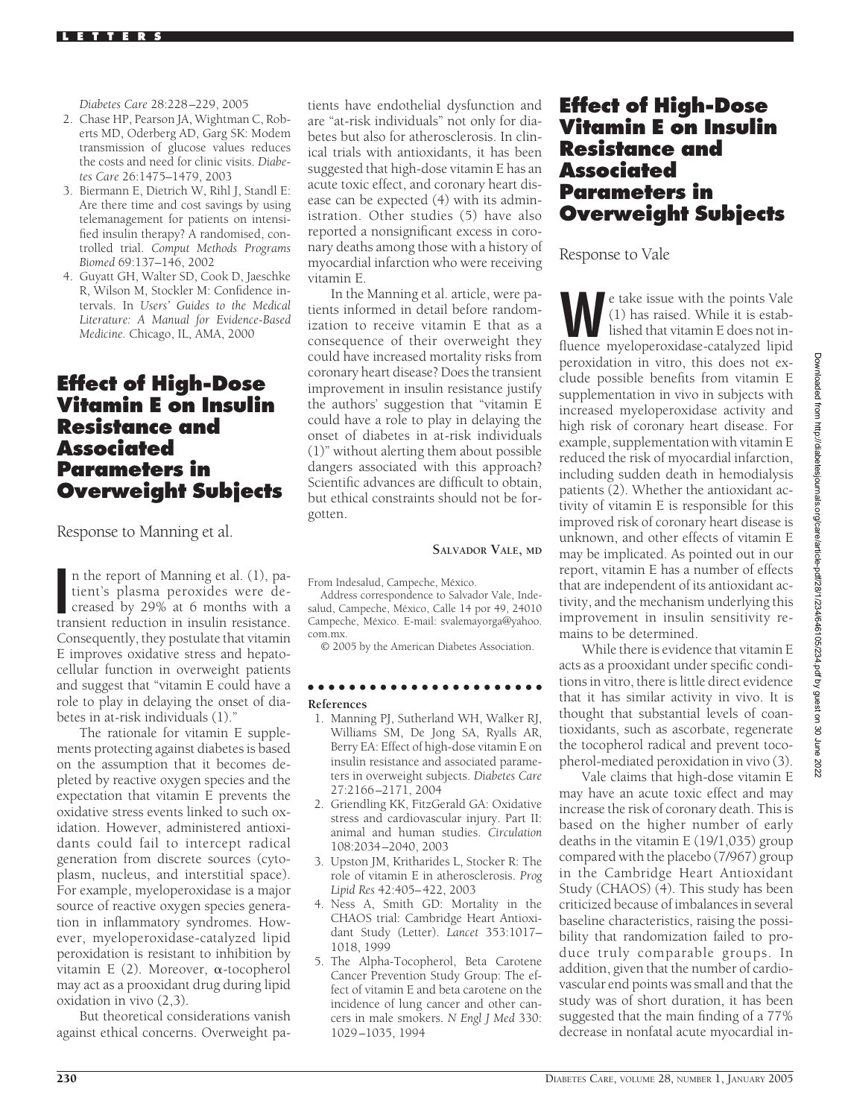*Diabetes Care* 28:228–229, 2005

- 2. Chase HP, Pearson JA, Wightman C, Roberts MD, Oderberg AD, Garg SK: Modem transmission of glucose values reduces the costs and need for clinic visits. *Diabetes Care* 26:1475–1479, 2003
- 3. Biermann E, Dietrich W, Rihl J, Standl E: Are there time and cost savings by using telemanagement for patients on intensified insulin therapy? A randomised, controlled trial. *Comput Methods Programs Biomed* 69:137–146, 2002
- 4. Guyatt GH, Walter SD, Cook D, Jaeschke R, Wilson M, Stockler M: Confidence intervals. In *Users' Guides to the Medical Literature: A Manual for Evidence-Based Medicine.* Chicago, IL, AMA, 2000

## **Effect of High-Dose Vitamin E on Insulin Resistance and Associated Parameters in Overweight Subjects**

Response to Manning et al.

n the report of Manning et al. (1), patient's plasma peroxides were decreased by 29% at 6 months with a transient reduction in insulin resistance. n the report of Manning et al. (1), patient's plasma peroxides were decreased by 29% at 6 months with a Consequently, they postulate that vitamin E improves oxidative stress and hepatocellular function in overweight patients and suggest that "vitamin E could have a role to play in delaying the onset of diabetes in at-risk individuals (1)."

The rationale for vitamin E supplements protecting against diabetes is based on the assumption that it becomes depleted by reactive oxygen species and the expectation that vitamin E prevents the oxidative stress events linked to such oxidation. However, administered antioxidants could fail to intercept radical generation from discrete sources (cytoplasm, nucleus, and interstitial space). For example, myeloperoxidase is a major source of reactive oxygen species generation in inflammatory syndromes. However, myeloperoxidase-catalyzed lipid peroxidation is resistant to inhibition by vitamin E  $(2)$ . Moreover,  $\alpha$ -tocopherol may act as a prooxidant drug during lipid oxidation in vivo (2,3).

But theoretical considerations vanish against ethical concerns. Overweight pa-

tients have endothelial dysfunction and are "at-risk individuals" not only for diabetes but also for atherosclerosis. In clinical trials with antioxidants, it has been suggested that high-dose vitamin E has an acute toxic effect, and coronary heart disease can be expected (4) with its administration. Other studies (5) have also reported a nonsignificant excess in coronary deaths among those with a history of myocardial infarction who were receiving vitamin E.

In the Manning et al. article, were patients informed in detail before randomization to receive vitamin E that as a consequence of their overweight they could have increased mortality risks from coronary heart disease? Does the transient improvement in insulin resistance justify the authors' suggestion that "vitamin E could have a role to play in delaying the onset of diabetes in at-risk individuals (1)" without alerting them about possible dangers associated with this approach? Scientific advances are difficult to obtain, but ethical constraints should not be forgotten.

#### **SALVADOR VALE, MD**

From Indesalud, Campeche, México.

Address correspondence to Salvador Vale, Indesalud, Campeche, México, Calle 14 por 49, 24010 Campeche, México. E-mail: svalemayorga@yahoo. com.mx.

© 2005 by the American Diabetes Association.

### ●●●●●●●●●●●●●●●●●●●●●●● **References**

- 1. Manning PJ, Sutherland WH, Walker RJ, Williams SM, De Jong SA, Ryalls AR, Berry EA: Effect of high-dose vitamin E on insulin resistance and associated parameters in overweight subjects. *Diabetes Care* 27:2166–2171, 2004
- 2. Griendling KK, FitzGerald GA: Oxidative stress and cardiovascular injury. Part II: animal and human studies. *Circulation* 108:2034–2040, 2003
- 3. Upston JM, Kritharides L, Stocker R: The role of vitamin E in atherosclerosis. *Prog Lipid Res* 42:405–422, 2003
- 4. Ness A, Smith GD: Mortality in the CHAOS trial: Cambridge Heart Antioxidant Study (Letter). *Lancet* 353:1017– 1018, 1999
- 5. The Alpha-Tocopherol, Beta Carotene Cancer Prevention Study Group: The effect of vitamin E and beta carotene on the incidence of lung cancer and other cancers in male smokers. *N Engl J Med* 330: 1029–1035, 1994

# **Effect of High-Dose Vitamin E on Insulin Resistance and Associated Parameters in Overweight Subjects**

Response to Vale

**W**e take issue with the points Vale (1) has raised. While it is established that vitamin E does not influence myeloperoxidase-catalyzed lipid peroxidation in vitro, this does not exclude possible benefits from vitamin E supplementation in vivo in subjects with increased myeloperoxidase activity and high risk of coronary heart disease. For example, supplementation with vitamin E reduced the risk of myocardial infarction, including sudden death in hemodialysis patients (2). Whether the antioxidant activity of vitamin E is responsible for this improved risk of coronary heart disease is unknown, and other effects of vitamin E may be implicated. As pointed out in our report, vitamin E has a number of effects that are independent of its antioxidant activity, and the mechanism underlying this improvement in insulin sensitivity remains to be determined.

While there is evidence that vitamin E acts as a prooxidant under specific conditions in vitro, there is little direct evidence that it has similar activity in vivo. It is thought that substantial levels of coantioxidants, such as ascorbate, regenerate the tocopherol radical and prevent tocopherol-mediated peroxidation in vivo (3).

Vale claims that high-dose vitamin E may have an acute toxic effect and may increase the risk of coronary death. This is based on the higher number of early deaths in the vitamin E (19/1,035) group compared with the placebo (7/967) group in the Cambridge Heart Antioxidant Study (CHAOS) (4). This study has been criticized because of imbalances in several baseline characteristics, raising the possibility that randomization failed to produce truly comparable groups. In addition, given that the number of cardiovascular end points was small and that the study was of short duration, it has been suggested that the main finding of a 77% decrease in nonfatal acute myocardial in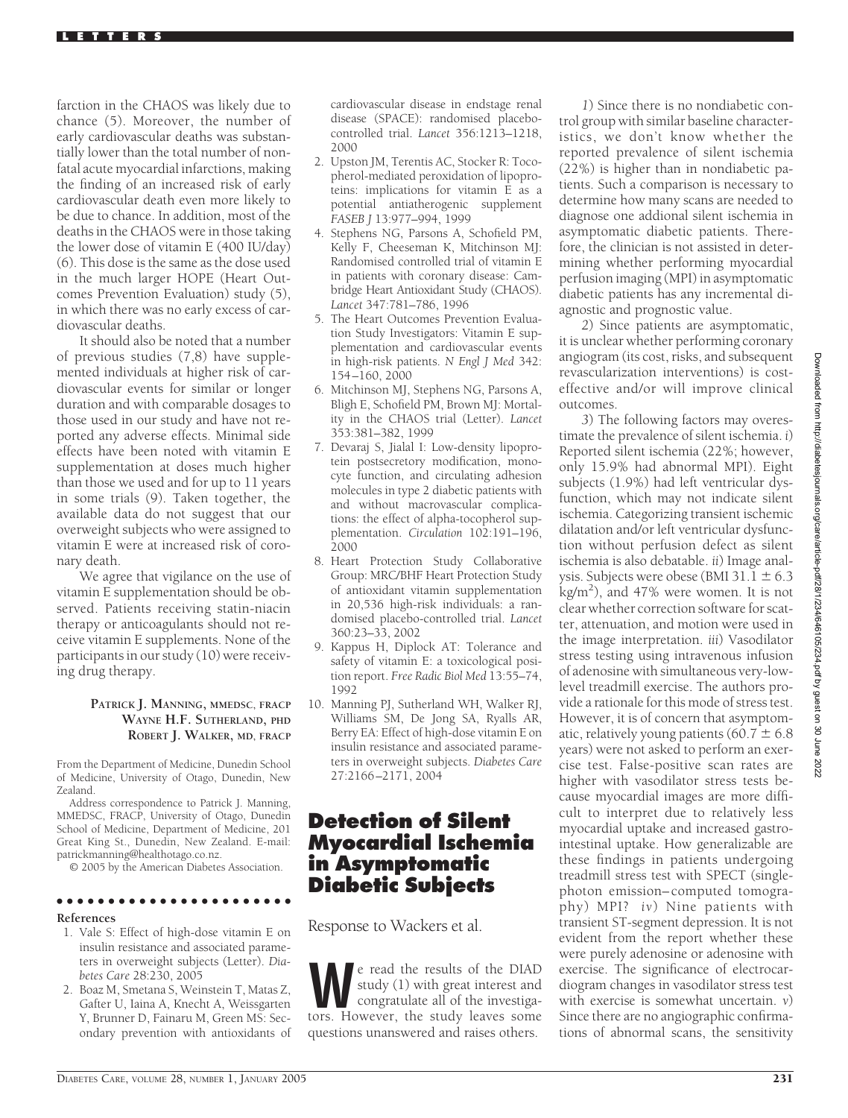farction in the CHAOS was likely due to chance (5). Moreover, the number of early cardiovascular deaths was substantially lower than the total number of nonfatal acute myocardial infarctions, making the finding of an increased risk of early cardiovascular death even more likely to be due to chance. In addition, most of the deaths in the CHAOS were in those taking the lower dose of vitamin E (400 IU/day) (6). This dose is the same as the dose used in the much larger HOPE (Heart Outcomes Prevention Evaluation) study (5), in which there was no early excess of cardiovascular deaths.

It should also be noted that a number of previous studies (7,8) have supplemented individuals at higher risk of cardiovascular events for similar or longer duration and with comparable dosages to those used in our study and have not reported any adverse effects. Minimal side effects have been noted with vitamin E supplementation at doses much higher than those we used and for up to 11 years in some trials (9). Taken together, the available data do not suggest that our overweight subjects who were assigned to vitamin E were at increased risk of coronary death.

We agree that vigilance on the use of vitamin E supplementation should be observed. Patients receiving statin-niacin therapy or anticoagulants should not receive vitamin E supplements. None of the participants in our study (10) were receiving drug therapy.

### **PATRICK J. MANNING, MMEDSC, FRACP WAYNE H.F. SUTHERLAND, PHD ROBERT J. WALKER, MD, FRACP**

From the Department of Medicine, Dunedin School of Medicine, University of Otago, Dunedin, New Zealand.

Address correspondence to Patrick J. Manning, MMEDSC, FRACP, University of Otago, Dunedin School of Medicine, Department of Medicine, 201 Great King St., Dunedin, New Zealand. E-mail: patrickmanning@healthotago.co.nz.

© 2005 by the American Diabetes Association.

### ●●●●●●●●●●●●●●●●●●●●●●●

### **References**

- 1. Vale S: Effect of high-dose vitamin E on insulin resistance and associated parameters in overweight subjects (Letter). *Diabetes Care* 28:230, 2005
- 2. Boaz M, Smetana S, Weinstein T, Matas Z, Gafter U, Iaina A, Knecht A, Weissgarten Y, Brunner D, Fainaru M, Green MS: Secondary prevention with antioxidants of

cardiovascular disease in endstage renal disease (SPACE): randomised placebocontrolled trial. *Lancet* 356:1213–1218, 2000

- 2. Upston JM, Terentis AC, Stocker R: Tocopherol-mediated peroxidation of lipoproteins: implications for vitamin E as a potential antiatherogenic supplement *FASEB J* 13:977–994, 1999
- 4. Stephens NG, Parsons A, Schofield PM, Kelly F, Cheeseman K, Mitchinson MJ: Randomised controlled trial of vitamin E in patients with coronary disease: Cambridge Heart Antioxidant Study (CHAOS). *Lancet* 347:781–786, 1996
- 5. The Heart Outcomes Prevention Evaluation Study Investigators: Vitamin E supplementation and cardiovascular events in high-risk patients. *N Engl J Med* 342: 154–160, 2000
- 6. Mitchinson MJ, Stephens NG, Parsons A, Bligh E, Schofield PM, Brown MJ: Mortality in the CHAOS trial (Letter). *Lancet* 353:381–382, 1999
- 7. Devaraj S, Jialal I: Low-density lipoprotein postsecretory modification, monocyte function, and circulating adhesion molecules in type 2 diabetic patients with and without macrovascular complications: the effect of alpha-tocopherol supplementation. *Circulation* 102:191–196, 2000
- 8. Heart Protection Study Collaborative Group: MRC/BHF Heart Protection Study of antioxidant vitamin supplementation in 20,536 high-risk individuals: a randomised placebo-controlled trial. *Lancet* 360:23–33, 2002
- 9. Kappus H, Diplock AT: Tolerance and safety of vitamin E: a toxicological position report. *Free Radic Biol Med* 13:55–74, 1992
- 10. Manning PJ, Sutherland WH, Walker RJ, Williams SM, De Jong SA, Ryalls AR, Berry EA: Effect of high-dose vitamin E on insulin resistance and associated parameters in overweight subjects. *Diabetes Care* 27:2166–2171, 2004

# **Detection of Silent Myocardial Ischemia in Asymptomatic Diabetic Subjects**

Response to Wackers et al.

e read the results of the DIAD<br>study (1) with great interest and<br>congratulate all of the investiga-<br>tors. However, the study leaves some study (1) with great interest and congratulate all of the investigators. However, the study leaves some questions unanswered and raises others.

*1*) Since there is no nondiabetic control group with similar baseline characteristics, we don't know whether the reported prevalence of silent ischemia (22%) is higher than in nondiabetic patients. Such a comparison is necessary to determine how many scans are needed to diagnose one addional silent ischemia in asymptomatic diabetic patients. Therefore, the clinician is not assisted in determining whether performing myocardial perfusion imaging (MPI) in asymptomatic diabetic patients has any incremental diagnostic and prognostic value.

*2*) Since patients are asymptomatic, it is unclear whether performing coronary angiogram (its cost, risks, and subsequent revascularization interventions) is costeffective and/or will improve clinical outcomes.

*3*) The following factors may overestimate the prevalence of silent ischemia. *i*) Reported silent ischemia (22%; however, only 15.9% had abnormal MPI). Eight subjects (1.9%) had left ventricular dysfunction, which may not indicate silent ischemia. Categorizing transient ischemic dilatation and/or left ventricular dysfunction without perfusion defect as silent ischemia is also debatable. *ii*) Image analysis. Subjects were obese (BMI 31.1  $\pm$  6.3  $\rm\,kg/m^2)$ , and 47% were women. It is not clear whether correction software for scatter, attenuation, and motion were used in the image interpretation. *iii*) Vasodilator stress testing using intravenous infusion of adenosine with simultaneous very-lowlevel treadmill exercise. The authors provide a rationale for this mode of stress test. However, it is of concern that asymptomatic, relatively young patients (60.7  $\pm$  6.8 years) were not asked to perform an exercise test. False-positive scan rates are higher with vasodilator stress tests because myocardial images are more difficult to interpret due to relatively less myocardial uptake and increased gastrointestinal uptake. How generalizable are these findings in patients undergoing treadmill stress test with SPECT (singlephoton emission–computed tomography) MPI? *iv*) Nine patients with transient ST-segment depression. It is not evident from the report whether these were purely adenosine or adenosine with exercise. The significance of electrocardiogram changes in vasodilator stress test with exercise is somewhat uncertain. *v*) Since there are no angiographic confirmations of abnormal scans, the sensitivity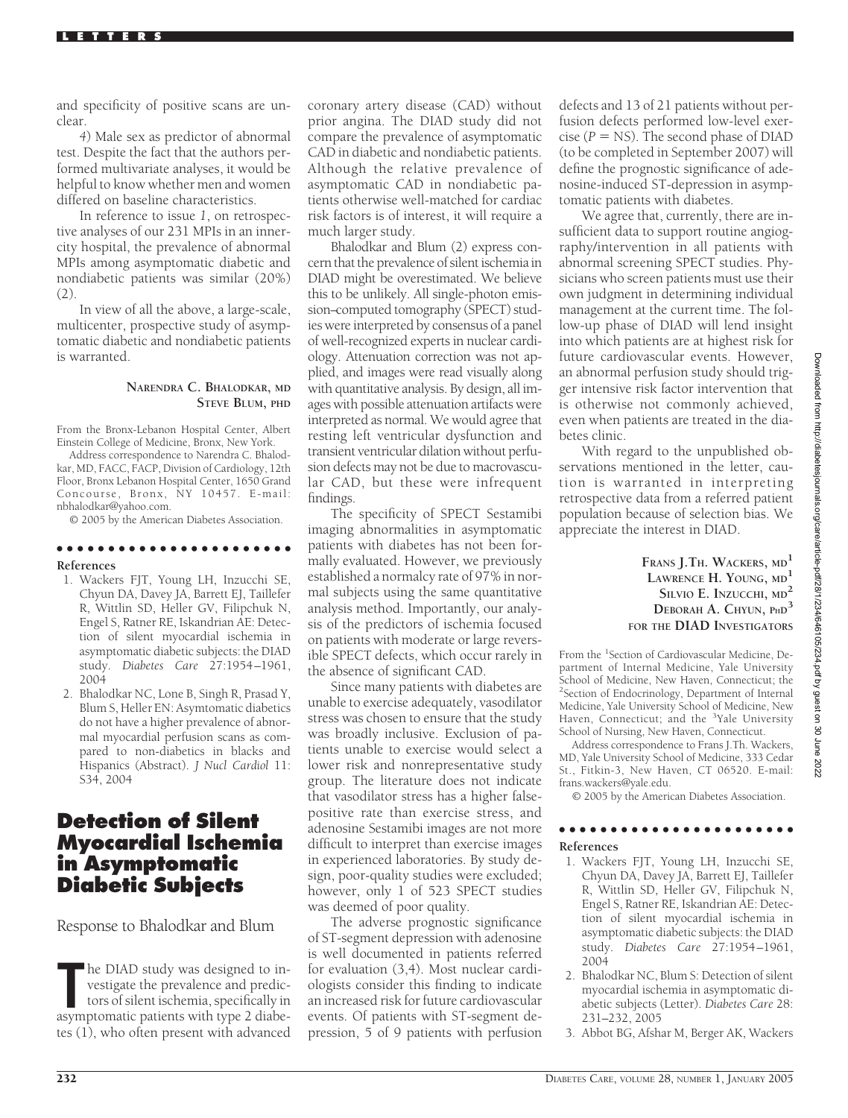and specificity of positive scans are unclear.

*4*) Male sex as predictor of abnormal test. Despite the fact that the authors performed multivariate analyses, it would be helpful to know whether men and women differed on baseline characteristics.

In reference to issue *1*, on retrospective analyses of our 231 MPIs in an innercity hospital, the prevalence of abnormal MPIs among asymptomatic diabetic and nondiabetic patients was similar (20%)  $(2)$ 

In view of all the above, a large-scale, multicenter, prospective study of asymptomatic diabetic and nondiabetic patients is warranted.

#### **NARENDRA C. BHALODKAR, MD STEVE BLUM, PHD**

From the Bronx-Lebanon Hospital Center, Albert Einstein College of Medicine, Bronx, New York.

Address correspondence to Narendra C. Bhalodkar, MD, FACC, FACP, Division of Cardiology, 12th Floor, Bronx Lebanon Hospital Center, 1650 Grand Concourse, Bronx, NY 10457. E-mail: nbhalodkar@yahoo.com.

© 2005 by the American Diabetes Association.

●●●●●●●●●●●●●●●●●●●●●●●

#### **References**

- 1. Wackers FJT, Young LH, Inzucchi SE, Chyun DA, Davey JA, Barrett EJ, Taillefer R, Wittlin SD, Heller GV, Filipchuk N, Engel S, Ratner RE, Iskandrian AE: Detection of silent myocardial ischemia in asymptomatic diabetic subjects: the DIAD study. *Diabetes Care* 27:1954–1961, 2004
- 2. Bhalodkar NC, Lone B, Singh R, Prasad Y, Blum S, Heller EN: Asymtomatic diabetics do not have a higher prevalence of abnormal myocardial perfusion scans as compared to non-diabetics in blacks and Hispanics (Abstract). *J Nucl Cardiol* 11: S34, 2004

## **Detection of Silent Myocardial Ischemia in Asymptomatic Diabetic Subjects**

Response to Bhalodkar and Blum

The DIAD study was designed to investigate the prevalence and predictors of silent ischemia, specifically in asymptomatic patients with type 2 diabehe DIAD study was designed to investigate the prevalence and predictors of silent ischemia, specifically in tes (1), who often present with advanced

coronary artery disease (CAD) without prior angina. The DIAD study did not compare the prevalence of asymptomatic CAD in diabetic and nondiabetic patients. Although the relative prevalence of asymptomatic CAD in nondiabetic patients otherwise well-matched for cardiac risk factors is of interest, it will require a much larger study.

Bhalodkar and Blum (2) express concern that the prevalence of silent ischemia in DIAD might be overestimated. We believe this to be unlikely. All single-photon emission–computed tomography (SPECT) studies were interpreted by consensus of a panel of well-recognized experts in nuclear cardiology. Attenuation correction was not applied, and images were read visually along with quantitative analysis. By design, all images with possible attenuation artifacts were interpreted as normal. We would agree that resting left ventricular dysfunction and transient ventricular dilation without perfusion defects may not be due to macrovascular CAD, but these were infrequent findings.

The specificity of SPECT Sestamibi imaging abnormalities in asymptomatic patients with diabetes has not been formally evaluated. However, we previously established a normalcy rate of 97% in normal subjects using the same quantitative analysis method. Importantly, our analysis of the predictors of ischemia focused on patients with moderate or large reversible SPECT defects, which occur rarely in the absence of significant CAD.

Since many patients with diabetes are unable to exercise adequately, vasodilator stress was chosen to ensure that the study was broadly inclusive. Exclusion of patients unable to exercise would select a lower risk and nonrepresentative study group. The literature does not indicate that vasodilator stress has a higher falsepositive rate than exercise stress, and adenosine Sestamibi images are not more difficult to interpret than exercise images in experienced laboratories. By study design, poor-quality studies were excluded; however, only 1 of 523 SPECT studies was deemed of poor quality.

The adverse prognostic significance of ST-segment depression with adenosine is well documented in patients referred for evaluation (3,4). Most nuclear cardiologists consider this finding to indicate an increased risk for future cardiovascular events. Of patients with ST-segment depression, 5 of 9 patients with perfusion

defects and 13 of 21 patients without perfusion defects performed low-level exercise  $(P = NS)$ . The second phase of DIAD (to be completed in September 2007) will define the prognostic significance of adenosine-induced ST-depression in asymptomatic patients with diabetes.

We agree that, currently, there are insufficient data to support routine angiography/intervention in all patients with abnormal screening SPECT studies. Physicians who screen patients must use their own judgment in determining individual management at the current time. The follow-up phase of DIAD will lend insight into which patients are at highest risk for future cardiovascular events. However, an abnormal perfusion study should trigger intensive risk factor intervention that is otherwise not commonly achieved, even when patients are treated in the diabetes clinic.

With regard to the unpublished observations mentioned in the letter, caution is warranted in interpreting retrospective data from a referred patient population because of selection bias. We appreciate the interest in DIAD.

> **FRANS J.TH. WACKERS, MD<sup>1</sup> LAWRENCE H. YOUNG, MD<sup>1</sup> SILVIO E. INZUCCHI, MD<sup>2</sup> DEBORAH A. CHYUN, PHD3 FOR THE DIAD INVESTIGATORS**

From the <sup>1</sup>Section of Cardiovascular Medicine, Department of Internal Medicine, Yale University School of Medicine, New Haven, Connecticut; the 2 Section of Endocrinology, Department of Internal Medicine, Yale University School of Medicine, New Haven, Connecticut; and the <sup>3</sup>Yale University School of Nursing, New Haven, Connecticut.

Address correspondence to Frans J.Th. Wackers, MD, Yale University School of Medicine, 333 Cedar St., Fitkin-3, New Haven, CT 06520. E-mail: frans.wackers@yale.edu.

© 2005 by the American Diabetes Association.

#### ●●●●●●●●●●●●●●●●●●●●●●●

### **References**

- 1. Wackers FJT, Young LH, Inzucchi SE, Chyun DA, Davey JA, Barrett EJ, Taillefer R, Wittlin SD, Heller GV, Filipchuk N, Engel S, Ratner RE, Iskandrian AE: Detection of silent myocardial ischemia in asymptomatic diabetic subjects: the DIAD study. *Diabetes Care* 27:1954–1961, 2004
- 2. Bhalodkar NC, Blum S: Detection of silent myocardial ischemia in asymptomatic diabetic subjects (Letter). *Diabetes Care* 28: 231–232, 2005
- 3. Abbot BG, Afshar M, Berger AK, Wackers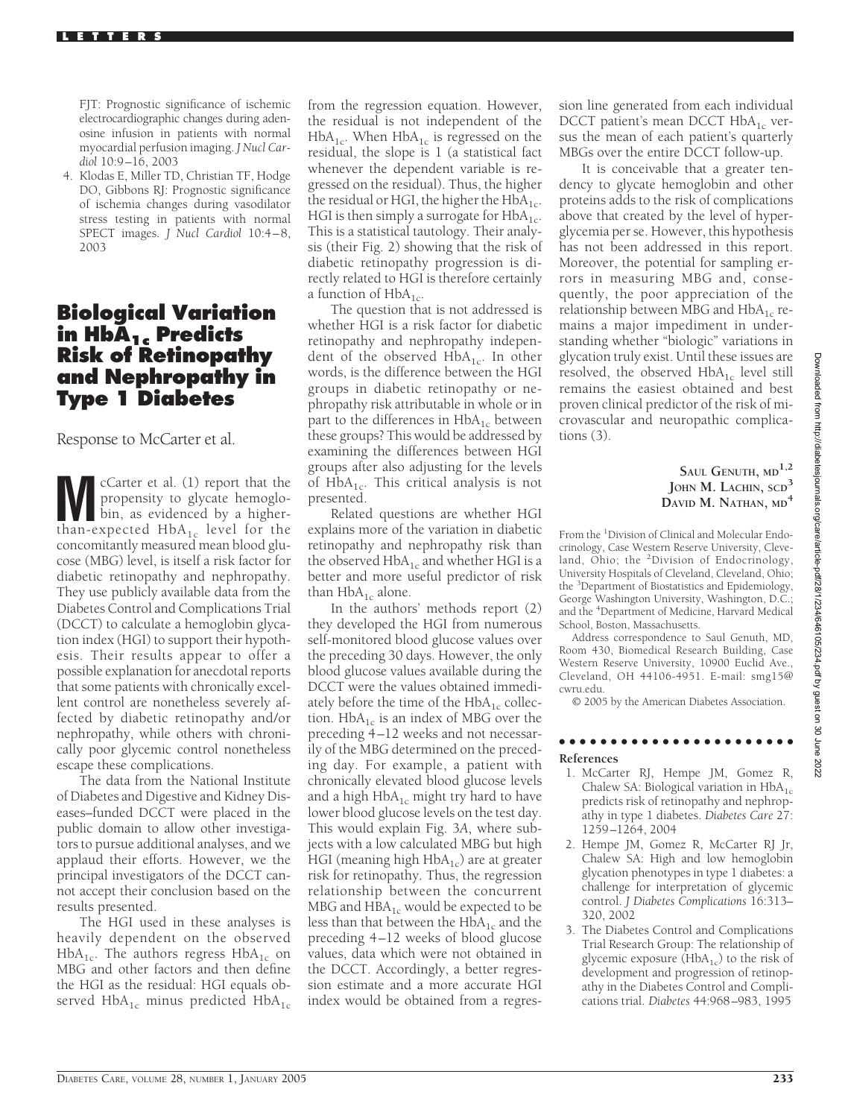FJT: Prognostic significance of ischemic electrocardiographic changes during adenosine infusion in patients with normal myocardial perfusion imaging. *J Nucl Cardiol* 10:9–16, 2003

4. Klodas E, Miller TD, Christian TF, Hodge DO, Gibbons RJ: Prognostic significance of ischemia changes during vasodilator stress testing in patients with normal SPECT images. *J Nucl Cardiol* 10:4–8, 2003

## **Biological Variation in HbA1c Predicts Risk of Retinopathy and Nephropathy in Type 1 Diabetes**

Response to McCarter et al.

**M** cCarter et al. (1) report that the<br>propensity to glycate hemoglo-<br>bin, as evidenced by a higher-<br>than-expected HbA, level for the propensity to glycate hemoglothan-expected  $HbA_{1c}$  level for the concomitantly measured mean blood glucose (MBG) level, is itself a risk factor for diabetic retinopathy and nephropathy. They use publicly available data from the Diabetes Control and Complications Trial (DCCT) to calculate a hemoglobin glycation index (HGI) to support their hypothesis. Their results appear to offer a possible explanation for anecdotal reports that some patients with chronically excellent control are nonetheless severely affected by diabetic retinopathy and/or nephropathy, while others with chronically poor glycemic control nonetheless escape these complications.

The data from the National Institute of Diabetes and Digestive and Kidney Diseases–funded DCCT were placed in the public domain to allow other investigators to pursue additional analyses, and we applaud their efforts. However, we the principal investigators of the DCCT cannot accept their conclusion based on the results presented.

The HGI used in these analyses is heavily dependent on the observed  $HbA_{1c}$ . The authors regress  $HbA_{1c}$  on MBG and other factors and then define the HGI as the residual: HGI equals observed  $HbA_{1c}$  minus predicted  $HbA_{1c}$ 

from the regression equation. However, the residual is not independent of the  $HbA_{1c}$ . When  $HbA_{1c}$  is regressed on the residual, the slope is 1 (a statistical fact whenever the dependent variable is regressed on the residual). Thus, the higher the residual or HGI, the higher the  $HbA_{1c}$ . HGI is then simply a surrogate for  $HbA_{1c}$ . This is a statistical tautology. Their analysis (their Fig. 2) showing that the risk of diabetic retinopathy progression is directly related to HGI is therefore certainly a function of  $HbA_{1c}$ .

The question that is not addressed is whether HGI is a risk factor for diabetic retinopathy and nephropathy independent of the observed  $HbA_{1c}$ . In other words, is the difference between the HGI groups in diabetic retinopathy or nephropathy risk attributable in whole or in part to the differences in  $HbA_{1c}$  between these groups? This would be addressed by examining the differences between HGI groups after also adjusting for the levels of  $HbA_{1c}$ . This critical analysis is not presented.

Related questions are whether HGI explains more of the variation in diabetic retinopathy and nephropathy risk than the observed  $HbA_{1c}$  and whether HGI is a better and more useful predictor of risk than  $HbA_{1c}$  alone.

In the authors' methods report (2) they developed the HGI from numerous self-monitored blood glucose values over the preceding 30 days. However, the only blood glucose values available during the DCCT were the values obtained immediately before the time of the  $HbA_{1c}$  collection.  $HbA_{1c}$  is an index of MBG over the preceding 4–12 weeks and not necessarily of the MBG determined on the preceding day. For example, a patient with chronically elevated blood glucose levels and a high  $HbA_{1c}$  might try hard to have lower blood glucose levels on the test day. This would explain Fig. 3*A*, where subjects with a low calculated MBG but high HGI (meaning high  $HbA_{1c}$ ) are at greater risk for retinopathy. Thus, the regression relationship between the concurrent MBG and  $HBA_{1c}$  would be expected to be less than that between the  $HbA_{1c}$  and the preceding 4–12 weeks of blood glucose values, data which were not obtained in the DCCT. Accordingly, a better regression estimate and a more accurate HGI index would be obtained from a regres-

sion line generated from each individual DCCT patient's mean DCCT  $HbA_{1c}$  versus the mean of each patient's quarterly MBGs over the entire DCCT follow-up.

It is conceivable that a greater tendency to glycate hemoglobin and other proteins adds to the risk of complications above that created by the level of hyperglycemia per se. However, this hypothesis has not been addressed in this report. Moreover, the potential for sampling errors in measuring MBG and, consequently, the poor appreciation of the relationship between MBG and  $HbA_{1c}$  remains a major impediment in understanding whether "biologic" variations in glycation truly exist. Until these issues are resolved, the observed  $HbA_{1c}$  level still remains the easiest obtained and best proven clinical predictor of the risk of microvascular and neuropathic complications (3).

### **SAUL GENUTH, MD1,2 JOHN M. LACHIN, SCD<sup>3</sup> DAVID M. NATHAN, MD<sup>4</sup>**

From the <sup>1</sup>Division of Clinical and Molecular Endocrinology, Case Western Reserve University, Cleveland, Ohio; the <sup>2</sup>Division of Endocrinology, University Hospitals of Cleveland, Cleveland, Ohio; the <sup>3</sup> Department of Biostatistics and Epidemiology, George Washington University, Washington, D.C.; and the <sup>4</sup> Department of Medicine, Harvard Medical School, Boston, Massachusetts.

Address correspondence to Saul Genuth, MD, Room 430, Biomedical Research Building, Case Western Reserve University, 10900 Euclid Ave., Cleveland, OH 44106-4951. E-mail: smg15@ cwru.edu.

© 2005 by the American Diabetes Association.

#### ●●●●●●●●●●●●●●●●●●●●●●● **References**

- 1. McCarter RJ, Hempe JM, Gomez R, Chalew SA: Biological variation in  $HbA_{1c}$ predicts risk of retinopathy and nephropathy in type 1 diabetes. *Diabetes Care* 27: 1259–1264, 2004
- 2. Hempe JM, Gomez R, McCarter RJ Jr, Chalew SA: High and low hemoglobin glycation phenotypes in type 1 diabetes: a challenge for interpretation of glycemic control. *J Diabetes Complications* 16:313– 320, 2002
- 3. The Diabetes Control and Complications Trial Research Group: The relationship of glycemic exposure  $(HbA_{1c})$  to the risk of development and progression of retinopathy in the Diabetes Control and Complications trial. *Diabetes* 44:968–983, 1995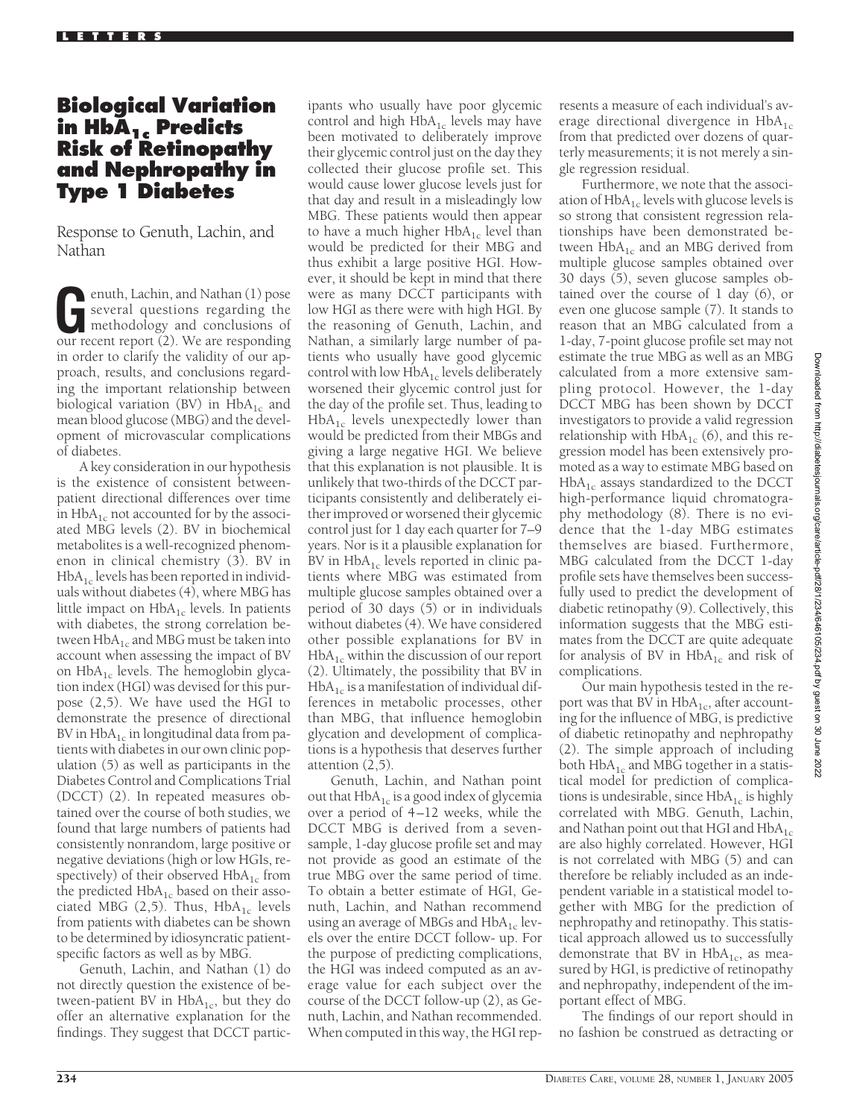# **Biological Variation in HbA1c Predicts Risk of Retinopathy and Nephropathy in Type 1 Diabetes**

Response to Genuth, Lachin, and Nathan

**G**enuth, Lachin, and Nathan (1) pose<br>several questions regarding the<br>methodology and conclusions of<br>our recent report (2). We are responding several questions regarding the our recent report (2). We are responding in order to clarify the validity of our approach, results, and conclusions regarding the important relationship between biological variation (BV) in  $HbA_{1c}$  and mean blood glucose (MBG) and the development of microvascular complications of diabetes.

A key consideration in our hypothesis is the existence of consistent betweenpatient directional differences over time in  $HbA_{1c}$  not accounted for by the associated MBG levels (2). BV in biochemical metabolites is a well-recognized phenomenon in clinical chemistry (3). BV in  $HbA_{1c}$  levels has been reported in individuals without diabetes (4), where MBG has little impact on  $HbA_{1c}$  levels. In patients with diabetes, the strong correlation between  $HbA_{1c}$  and MBG must be taken into account when assessing the impact of BV on  $HbA_{1c}$  levels. The hemoglobin glycation index (HGI) was devised for this purpose (2,5). We have used the HGI to demonstrate the presence of directional BV in  $HbA_{1c}$  in longitudinal data from patients with diabetes in our own clinic population (5) as well as participants in the Diabetes Control and Complications Trial (DCCT) (2). In repeated measures obtained over the course of both studies, we found that large numbers of patients had consistently nonrandom, large positive or negative deviations (high or low HGIs, respectively) of their observed  $HbA_{1c}$  from the predicted  $HbA_{1c}$  based on their associated MBG  $(2,5)$ . Thus, HbA<sub>1c</sub> levels from patients with diabetes can be shown to be determined by idiosyncratic patientspecific factors as well as by MBG.

Genuth, Lachin, and Nathan (1) do not directly question the existence of between-patient BV in  $HbA_{1c}$ , but they do offer an alternative explanation for the findings. They suggest that DCCT partic-

ipants who usually have poor glycemic control and high  $HbA_{1c}$  levels may have been motivated to deliberately improve their glycemic control just on the day they collected their glucose profile set. This would cause lower glucose levels just for that day and result in a misleadingly low MBG. These patients would then appear to have a much higher  $HbA_{1c}$  level than would be predicted for their MBG and thus exhibit a large positive HGI. However, it should be kept in mind that there were as many DCCT participants with low HGI as there were with high HGI. By the reasoning of Genuth, Lachin, and Nathan, a similarly large number of patients who usually have good glycemic control with low  $HbA_{1c}$  levels deliberately worsened their glycemic control just for the day of the profile set. Thus, leading to  $HbA_{1c}$  levels unexpectedly lower than would be predicted from their MBGs and giving a large negative HGI. We believe that this explanation is not plausible. It is unlikely that two-thirds of the DCCT participants consistently and deliberately either improved or worsened their glycemic control just for 1 day each quarter for 7–9 years. Nor is it a plausible explanation for BV in  $HbA_{1c}$  levels reported in clinic patients where MBG was estimated from multiple glucose samples obtained over a period of 30 days (5) or in individuals without diabetes (4). We have considered other possible explanations for BV in  $HbA_{1c}$  within the discussion of our report (2). Ultimately, the possibility that BV in  $HbA_{1c}$  is a manifestation of individual differences in metabolic processes, other than MBG, that influence hemoglobin glycation and development of complications is a hypothesis that deserves further attention (2,5).

Genuth, Lachin, and Nathan point out that  $HbA_{1c}$  is a good index of glycemia over a period of 4–12 weeks, while the DCCT MBG is derived from a sevensample, 1-day glucose profile set and may not provide as good an estimate of the true MBG over the same period of time. To obtain a better estimate of HGI, Genuth, Lachin, and Nathan recommend using an average of MBGs and  $HbA_{1c}$  levels over the entire DCCT follow- up. For the purpose of predicting complications, the HGI was indeed computed as an average value for each subject over the course of the DCCT follow-up (2), as Genuth, Lachin, and Nathan recommended. When computed in this way, the HGI represents a measure of each individual's average directional divergence in  $HbA_{1c}$ from that predicted over dozens of quarterly measurements; it is not merely a single regression residual.

Furthermore, we note that the association of  $HbA_{1c}$  levels with glucose levels is so strong that consistent regression relationships have been demonstrated between  $HbA_{1c}$  and an MBG derived from multiple glucose samples obtained over 30 days (5), seven glucose samples obtained over the course of 1 day (6), or even one glucose sample (7). It stands to reason that an MBG calculated from a 1-day, 7-point glucose profile set may not estimate the true MBG as well as an MBG calculated from a more extensive sampling protocol. However, the 1-day DCCT MBG has been shown by DCCT investigators to provide a valid regression relationship with  $HbA_{1c}$  (6), and this regression model has been extensively promoted as a way to estimate MBG based on  $HbA<sub>1c</sub>$  assays standardized to the DCCT high-performance liquid chromatography methodology (8). There is no evidence that the 1-day MBG estimates themselves are biased. Furthermore, MBG calculated from the DCCT 1-day profile sets have themselves been successfully used to predict the development of diabetic retinopathy (9). Collectively, this information suggests that the MBG estimates from the DCCT are quite adequate for analysis of BV in  $HbA_{1c}$  and risk of complications.

Our main hypothesis tested in the report was that BV in  $HbA<sub>1c</sub>$ , after accounting for the influence of MBG, is predictive of diabetic retinopathy and nephropathy (2). The simple approach of including both  $HbA_{1c}$  and MBG together in a statistical model for prediction of complications is undesirable, since  $HbA_{1c}$  is highly correlated with MBG. Genuth, Lachin, and Nathan point out that HGI and  $HbA_{1c}$ are also highly correlated. However, HGI is not correlated with MBG (5) and can therefore be reliably included as an independent variable in a statistical model together with MBG for the prediction of nephropathy and retinopathy. This statistical approach allowed us to successfully demonstrate that BV in  $HbA_{1c}$ , as measured by HGI, is predictive of retinopathy and nephropathy, independent of the important effect of MBG.

The findings of our report should in no fashion be construed as detracting or